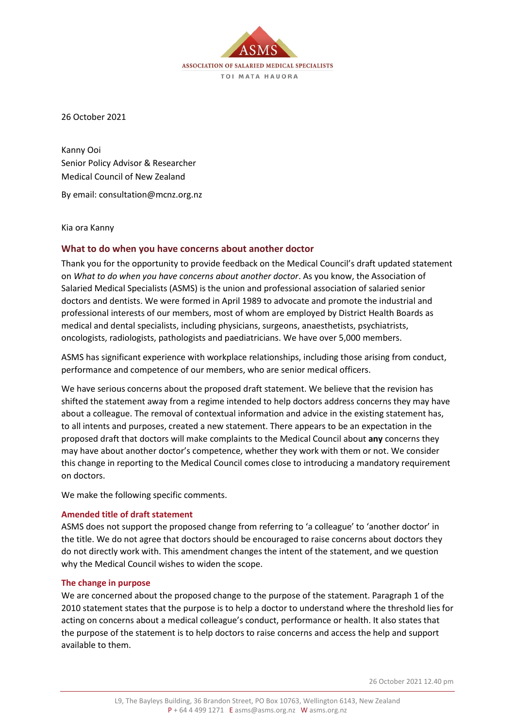ASSOCIATION OF SALARIED MEDICAL SPECIALISTS TOI MATA HAUORA

26 October 2021

Kanny Ooi Senior Policy Advisor & Researcher Medical Council of New Zealand

By email: consultation@mcnz.org.nz

Kia ora Kanny

# **What to do when you have concerns about another doctor**

Thank you for the opportunity to provide feedback on the Medical Council's draft updated statement on *What to do when you have concerns about another doctor*. As you know, the Association of Salaried Medical Specialists (ASMS) is the union and professional association of salaried senior doctors and dentists. We were formed in April 1989 to advocate and promote the industrial and professional interests of our members, most of whom are employed by District Health Boards as medical and dental specialists, including physicians, surgeons, anaesthetists, psychiatrists, oncologists, radiologists, pathologists and paediatricians. We have over 5,000 members.

ASMS has significant experience with workplace relationships, including those arising from conduct, performance and competence of our members, who are senior medical officers.

We have serious concerns about the proposed draft statement. We believe that the revision has shifted the statement away from a regime intended to help doctors address concerns they may have about a colleague. The removal of contextual information and advice in the existing statement has, to all intents and purposes, created a new statement. There appears to be an expectation in the proposed draft that doctors will make complaints to the Medical Council about **any** concerns they may have about another doctor's competence, whether they work with them or not. We consider this change in reporting to the Medical Council comes close to introducing a mandatory requirement on doctors.

We make the following specific comments.

### **Amended title of draft statement**

ASMS does not support the proposed change from referring to 'a colleague' to 'another doctor' in the title. We do not agree that doctors should be encouraged to raise concerns about doctors they do not directly work with. This amendment changes the intent of the statement, and we question why the Medical Council wishes to widen the scope.

### **The change in purpose**

We are concerned about the proposed change to the purpose of the statement. Paragraph 1 of the 2010 statement states that the purpose is to help a doctor to understand where the threshold lies for acting on concerns about a medical colleague's conduct, performance or health. It also states that the purpose of the statement is to help doctors to raise concerns and access the help and support available to them.

26 October 2021 12.40 pm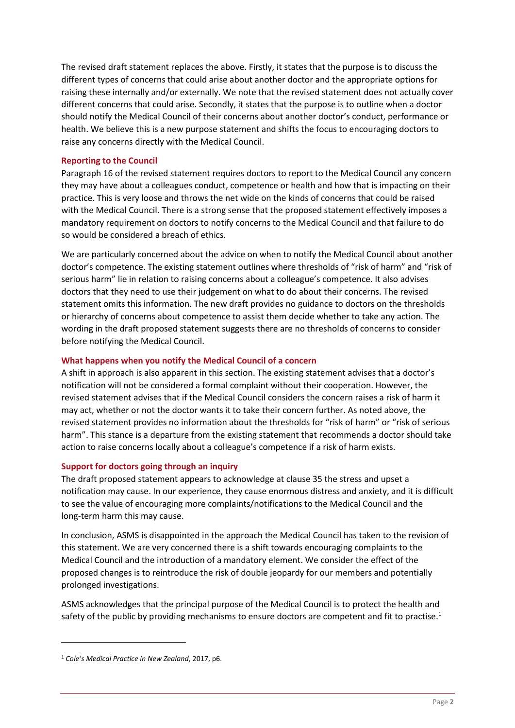The revised draft statement replaces the above. Firstly, it states that the purpose is to discuss the different types of concerns that could arise about another doctor and the appropriate options for raising these internally and/or externally. We note that the revised statement does not actually cover different concerns that could arise. Secondly, it states that the purpose is to outline when a doctor should notify the Medical Council of their concerns about another doctor's conduct, performance or health. We believe this is a new purpose statement and shifts the focus to encouraging doctors to raise any concerns directly with the Medical Council.

# **Reporting to the Council**

Paragraph 16 of the revised statement requires doctors to report to the Medical Council any concern they may have about a colleagues conduct, competence or health and how that is impacting on their practice. This is very loose and throws the net wide on the kinds of concerns that could be raised with the Medical Council. There is a strong sense that the proposed statement effectively imposes a mandatory requirement on doctors to notify concerns to the Medical Council and that failure to do so would be considered a breach of ethics.

We are particularly concerned about the advice on when to notify the Medical Council about another doctor's competence. The existing statement outlines where thresholds of "risk of harm" and "risk of serious harm" lie in relation to raising concerns about a colleague's competence. It also advises doctors that they need to use their judgement on what to do about their concerns. The revised statement omits this information. The new draft provides no guidance to doctors on the thresholds or hierarchy of concerns about competence to assist them decide whether to take any action. The wording in the draft proposed statement suggests there are no thresholds of concerns to consider before notifying the Medical Council.

### **What happens when you notify the Medical Council of a concern**

A shift in approach is also apparent in this section. The existing statement advises that a doctor's notification will not be considered a formal complaint without their cooperation. However, the revised statement advises that if the Medical Council considers the concern raises a risk of harm it may act, whether or not the doctor wants it to take their concern further. As noted above, the revised statement provides no information about the thresholds for "risk of harm" or "risk of serious harm". This stance is a departure from the existing statement that recommends a doctor should take action to raise concerns locally about a colleague's competence if a risk of harm exists.

# **Support for doctors going through an inquiry**

The draft proposed statement appears to acknowledge at clause 35 the stress and upset a notification may cause. In our experience, they cause enormous distress and anxiety, and it is difficult to see the value of encouraging more complaints/notifications to the Medical Council and the long-term harm this may cause.

In conclusion, ASMS is disappointed in the approach the Medical Council has taken to the revision of this statement. We are very concerned there is a shift towards encouraging complaints to the Medical Council and the introduction of a mandatory element. We consider the effect of the proposed changes is to reintroduce the risk of double jeopardy for our members and potentially prolonged investigations.

ASMS acknowledges that the principal purpose of the Medical Council is to protect the health and safety of the public by providing mechanisms to ensure doctors are competent and fit to practise.<sup>1</sup>

<sup>1</sup> *Cole's Medical Practice in New Zealand*, 2017, p6.